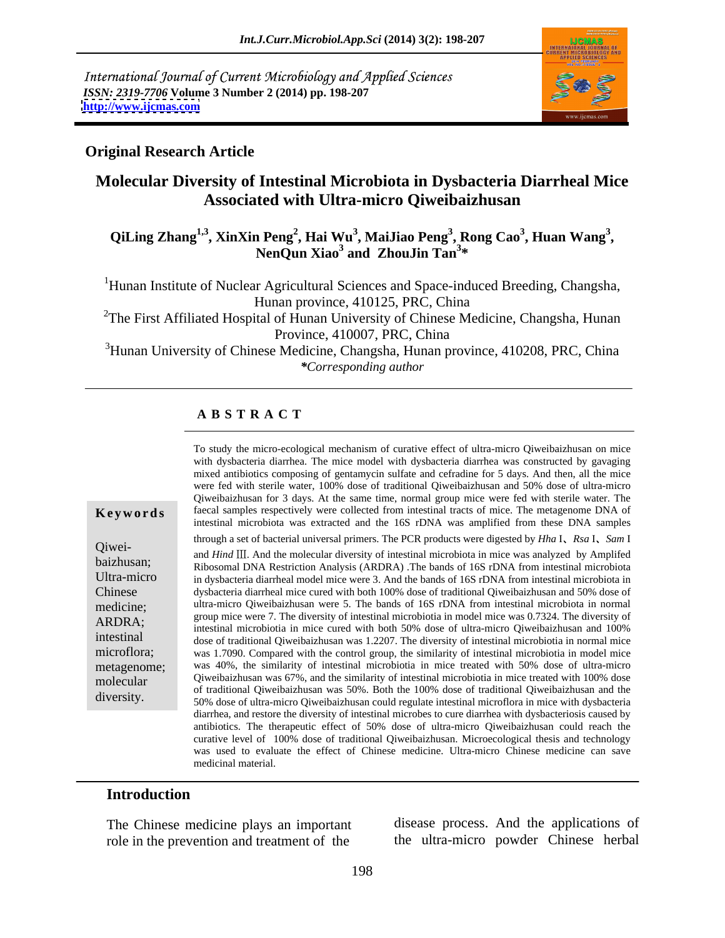International Journal of Current Microbiology and Applied Sciences *ISSN: 2319-7706* **Volume 3 Number 2 (2014) pp. 198-207 <http://www.ijcmas.com>**



#### **Original Research Article**

## **Molecular Diversity of Intestinal Microbiota in Dysbacteria Diarrheal Mice Associated with Ultra-micro Qiweibaizhusan**

#### **QiLing Zhang1,3, XinXin Peng2 , Hai Wu<sup>3</sup> , MaiJiao Peng<sup>3</sup> , Rong Cao<sup>3</sup> , NenQun Xiao3 , Huan Wang<sup>3</sup> and ZhouJin Tan<sup>3</sup> \***

<sup>1</sup>Hunan Institute of Nuclear Agricultural Sciences and Space-induced Breeding, Changsha, Hunan province, 410125, PRC, China

<sup>2</sup>The First Affiliated Hospital of Hunan University of Chinese Medicine, Changsha, Hunan Province, 410007, PRC, China

<sup>3</sup>Hunan University of Chinese Medicine, Changsha, Hunan province, 410208, PRC, China *\*Corresponding author*

#### **A B S T R A C T**

#### **Keywords** faecal samples respectively were collected from intestinal tracts of mice. The metagenome DNA of Qiwei-<br>and *Hind* III. And the molecular diversity of intestinal microbiota in mice was analyzed by Amplifed baizhusan;<br>
Ribosomal DNA Restriction Analysis (ARDRA) .The bands of 16S rDNA from intestinal microbiota Ultra-micro in dysbacteria diarrheal model mice were 3. And the bands of 16S rDNA from intestinal microbiota in Chinese dysbacteria diarrheal mice cured with both 100% dose of traditional Qiweibaizhusan and 50% dose of medicine; ultra-micro Qiweibaizhusan were 5. The bands of 16S rDNA from intestinal microbiota in normal ARDRA;<br>intestinal microbiotia in mice cured with both 50% dose of ultra-micro Qiweibaizhusan and 100% intestinal<br>dose of traditional Qiweibaizhusan was 1.2207. The diversity of intestinal microbiotia in normal mice microflora; was 1.7090. Compared with the control group, the similarity of intestinal microbiotia in model mice metagenome; was 40%, the similarity of intestinal microbiotia in mice treated with 50% dose of ultra-micro molecular Qiweibaizhusan was 67%, and the similarity of intestinal microbiotia in mice treated with 100% dose To study the micro-ocological mechanism of curative effect of ulter-nicro Qiveolazidus man mice<br>with dysthacteria diarrhea. The micro exponential diarrhea was constructed by gavaging<br>mixed antibiotics composing of gentamy Qiweibaizhusan for 3 days. At the same time, normal group mice were fed with sterile water. The intestinal microbiota was extracted and the 16S rDNA was amplified from these DNA samples through a set of bacterial universal primers. The PCR products were digested by *Hha* I *Rsa* I *Sam* I group mice were 7. The diversity of intestinal microbiotia in model mice was 0.7324. The diversity of of traditional Qiweibaizhusan was 50%. Both the 100% dose of traditional Qiweibaizhusan and the 50% dose of ultra-micro Qiweibaizhusan could regulate intestinal microflora in mice with dysbacteria diarrhea, and restore the diversity of intestinal microbes to cure diarrhea with dysbacteriosis caused by antibiotics. The therapeutic effect of 50% dose of ultra-micro Qiweibaizhusan could reach the curative level of 100% dose of traditional Qiweibaizhusan. Microecological thesis and technology was used to evaluate the effect of Chinese medicine. Ultra-micro Chinese medicine can save medicinal material.

#### **Introduction**

The Chinese medicine plays an important role in the prevention and treatment of the

disease process. And the applications of the ultra-micro powder Chinese herbal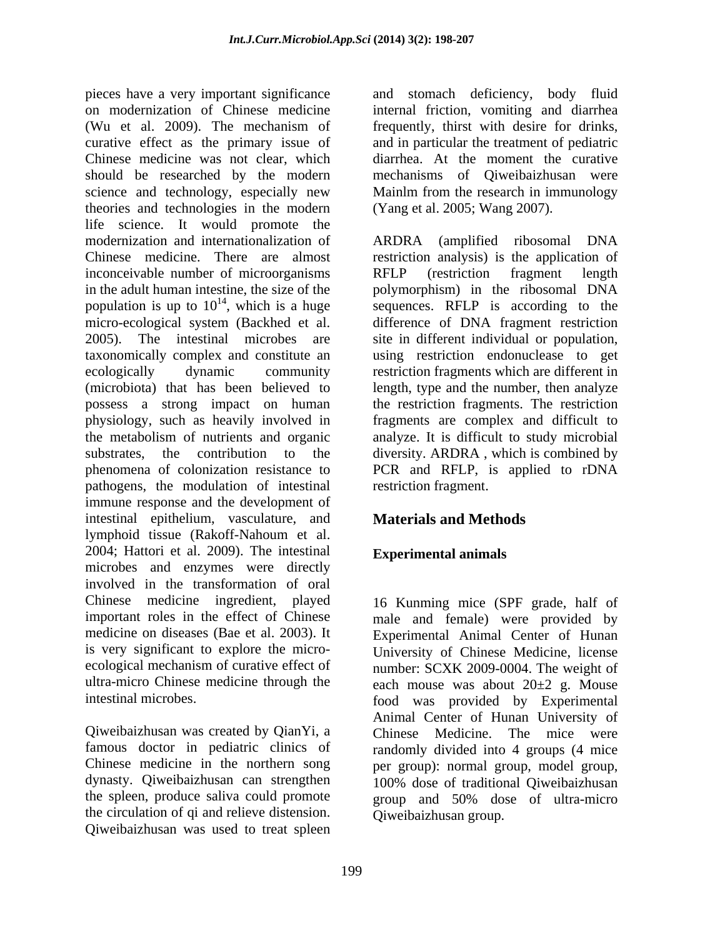pieces have a very important significance and stomach deficiency, body fluid on modernization of Chinese medicine internal friction, vomiting and diarrhea (Wu et al. 2009). The mechanism of curative effect as the primary issue of and in particular the treatment of pediatric Chinese medicine was not clear, which diarrhea. At the moment the curative should be researched by the modern science and technology, especially new Mainlm from the research in immunology theories and technologies in the modern life science. It would promote the modernization and internationalization of ARDRA (amplified ribosomal DNA Chinese medicine. There are almost restriction analysis) is the application of inconceivable number of microorganisms RFLP (restriction fragment length in the adult human intestine, the size of the polymorphism) in the ribosomal DNA population is up to  $10^{14}$ , which is a huge<br>micro-ecological system (Backhed et al. micro-ecological system (Backhed et al. difference of DNA fragment restriction 2005). The intestinal microbes are site in different individual or population, taxonomically complex and constitute an using restriction endonuclease to get ecologically dynamic community restriction fragments which are different in (microbiota) that has been believed to length, type and the number, then analyze possess a strong impact on human the restriction fragments. The restriction physiology, such as heavily involved in fragments are complex and difficult to the metabolism of nutrients and organic analyze. It is difficult to study microbial substrates, the contribution to the diversity. ARDRA , which is combined by phenomena of colonization resistance to PCR and RFLP, is applied to rDNA pathogens, the modulation of intestinal immune response and the development of intestinal epithelium, vasculature, and **Materials and Methods** lymphoid tissue (Rakoff-Nahoum et al. 2004; Hattori et al. 2009). The intestinal microbes and enzymes were directly involved in the transformation of oral Chinese medicine ingredient, played important roles in the effect of Chinese male and female) were provided by medicine on diseases (Bae et al. 2003). It Experimental Animal Center of Hunan is very significant to explore the micro-<br>University of Chinese Medicine, license ecological mechanism of curative effect of number: SCXK 2009-0004. The weight of ultra-micro Chinese medicine through the each mouse was about  $20\pm 2$  g. Mouse

the circulation of qi and relieve distension. Qiweibaizhusan was used to treat spleen

frequently, thirst with desire for drinks, and in particular the treatment of pediatric mechanisms of Qiweibaizhusan were (Yang et al. 2005; Wang 2007).

<sup>14</sup>, which is a huge sequences. RFLP is according to the RFLP (restriction fragment length restriction fragment.

## **Materials and Methods**

### **Experimental animals**

intestinal microbes. food was provided by Experimental Qiweibaizhusan was created by QianYi, a Chinese Medicine. The mice were famous doctor in pediatric clinics of randomly divided into 4 groups (4 mice Chinese medicine in the northern song per group): normal group, model group, dynasty. Qiweibaizhusan can strengthen 100% dose of traditional Qiweibaizhusan the spleen, produce saliva could promote group and 50% dose of ultra-micro 16 Kunming mice (SPF grade, half of Animal Center of Hunan University of Qiweibaizhusan group.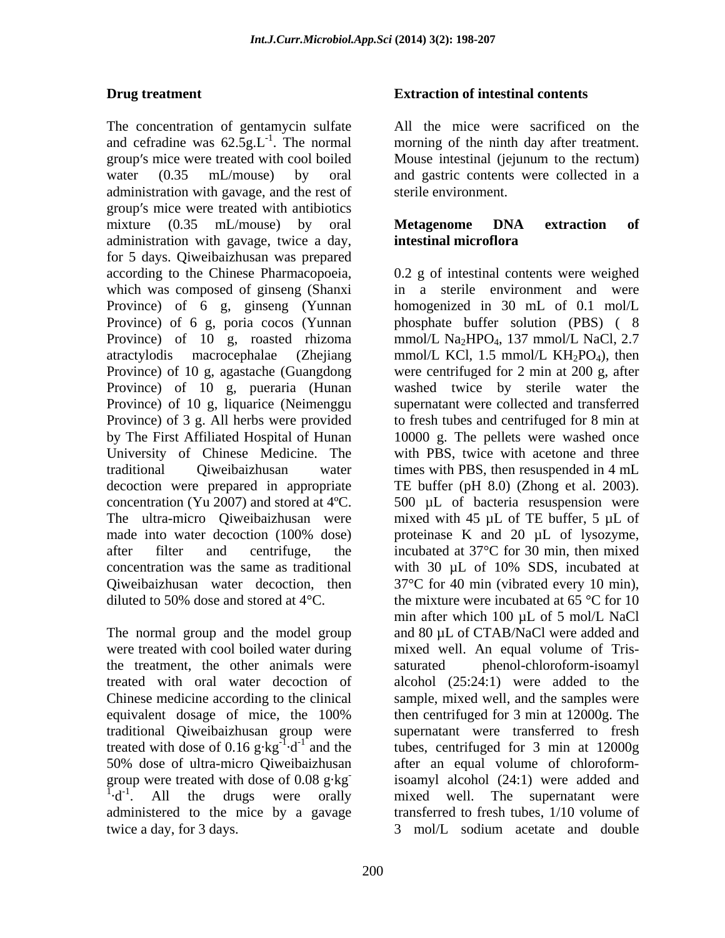The concentration of gentamycin sulfate and cefradine was  $62.5g.L^{-1}$ . The normal group's mice were treated with cool boiled Mouse intestinal (jejunum to the rectum) water (0.35 mL/mouse) by oral and gastric contents were collected in a administration with gavage, and the rest of group's mice were treated with antibiotics mixture (0.35 mL/mouse) by oral **Metagenome DNA extraction of** administration with gavage, twice a day, for 5 days. Qiweibaizhusan was prepared Province) of 6 g, ginseng (Yunnan Province) of 6 g, poria cocos (Yunnan Province) of 10 g, pueraria (Hunan Province) of 10 g, liquarice (Neimenggu University of Chinese Medicine. The

the treatment, the other animals were treated with dose of 0.16  $g \cdot kg^{-1} \cdot d^{-1}$  and the administered to the mice by a gavage twice a day, for 3 days.  $\frac{3 \text{ mol/L}}{2}$  sodium acetate and double

#### **Drug treatment Extraction of intestinal contents**

morning of the ninth day after treatment. All the mice were sacrificed on the morning of the ninth day after treatment. Mouse intestinal (jejunum to the rectum) sterile environment.

#### **Metagenome DNA extraction of intestinal microflora**

according to the Chinese Pharmacopoeia, 0.2 g of intestinal contents were weighed which was composed of ginseng (Shanxi in a sterile environment and were Province) of 10 g, roasted rhizoma mmol/L Na<sub>2</sub>HPO<sub>4</sub>, 137 mmol/L NaCl, 2.7 atractylodis macrocephalae (Zhejiang mmol/L KCl, 1.5 mmol/L KH<sub>2</sub>PO<sub>4</sub>), then Province) of 10 g, agastache (Guangdong were centrifuged for 2 min at 200 g, after Province) of 3 g. All herbs were provided to fresh tubes and centrifuged for 8 min at by The First Affiliated Hospital of Hunan 10000 g. The pellets were washed once traditional Qiweibaizhusan water times with PBS, then resuspended in 4 mL decoction were prepared in appropriate TE buffer (pH 8.0) (Zhong et al. 2003). concentration (Yu 2007) and stored at 4°C. 500  $\mu$ L of bacteria resuspension were<br>The ultra-micro Qiweibaizhusan were mixed with 45  $\mu$ L of TE buffer, 5  $\mu$ L of made into water decoction (100% dose) proteinase K and 20 µL of lysozyme, after filter and centrifuge, the incubated at 37°C for 30 min, then mixed concentration was the same as traditional with 30 µL of 10% SDS, incubated at Qiweibaizhusan water decoction, then 37°C for 40 min (vibrated every 10 min), diluted to 50% dose and stored at 4°C.<br>The normal group and the model group and 80  $\mu$ L of CTAB/NaCl were added and were treated with cool boiled water during mixed well. An equal volume of Tris treated with oral water decoction of alcohol (25:24:1) were added to the Chinese medicine according to the clinical sample, mixed well, and the samples were equivalent dosage of mice, the 100% then centrifuged for 3 min at 12000g. The traditional Qiweibaizhusan group were supernatant were transferred to fresh  $^{-1}$  $\cdot$ d<sup>-1</sup> and the tubes, centrifuged for 3 min at 12000g 50% dose of ultra-micro Qiweibaizhusan after an equal volume of chloroformgroup were treated with doseof 0.08 g·kg - isoamyl alcohol (24:1) were added and <sup>1</sup> $\cdot$ d<sup>-1</sup>. All the drugs were orally mixed well. The supernatant were homogenized in 30 mL of 0.1 mol/L phosphate buffer solution (PBS) ( 8 washed twice by sterile water the supernatant were collected and transferred with PBS, twice with acetone and three 500 µL of bacteria resuspension were mixed with 45 µL of TE buffer, 5 µL of proteinase K and 20 µL of lysozyme, the mixture were incubated at 65 °C for 10 min after which 100 µL of 5 mol/L NaCl and 80 µL of CTAB/NaCl were added and phenol-chloroform-isoamyl then centrifuged for 3 min at 12000g. The transferred to fresh tubes, 1/10 volume of 3 mol/L sodium acetate and double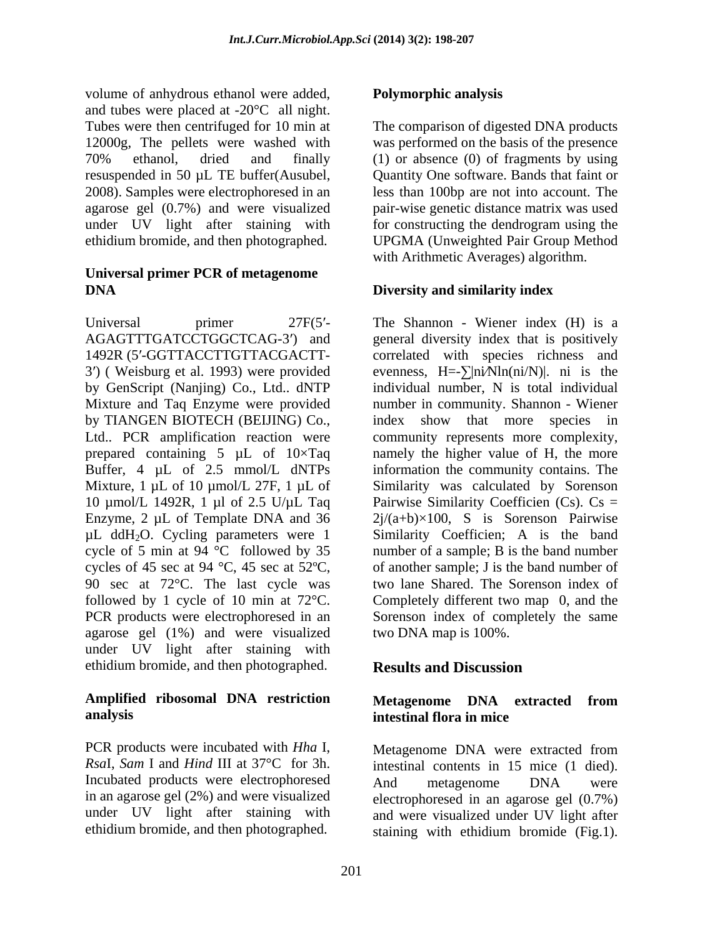volume of anhydrous ethanol were added, and tubes were placed at -20°C all night. Tubes were then centrifuged for 10 min at 12000g, The pellets were washed with was performed on the basis of the presence 70% ethanol, dried and finally (1) or absence (0) of fragments by using resuspended in 50 µL TE buffer(Ausubel, 2008). Samples were electrophoresed in an less than 100bp are not into account. The agarose gel (0.7%) and were visualized pair-wise genetic distance matrix was used under UV light after staining with ethidium bromide, and then photographed. UPGMA (Unweighted Pair Group Method

#### **Universal primer PCR of metagenome DIVERSITY and similarity index Diversity and similarity index**

by TIANGEN BIOTECH (BEIJING) Co., index show that more species in Mixture, 1  $\mu$ L of 10  $\mu$ mol/L 27F, 1  $\mu$ L of µL ddH2O. Cycling parameters were 1 cycle of 5 min at 94 °C followed by 35 agarose gel (1%) and were visualized under UV light after staining with ethidium bromide, and then photographed. **Results and Discussion** 

### **Amplified ribosomal DNA restriction analysis analysis analysis analysis analysis analysis analysis analysis**

PCR products were incubated with *Hha* I, Metagenome DNA were extracted from *Rsa*I, *Sam* I and *Hind* III at 37°C for 3h. Incubated products were electrophoresed and metagenome DNA were

### **Polymorphic analysis**

The comparison of digested DNA products Quantity One software. Bands that faint or for constructing the dendrogram using the with Arithmetic Averages) algorithm.

#### **Diversity and similarity index**

Universal primer 27F(5'- The Shannon - Wiener index (H) is a AGAGTTTGATCCTGGCTCAG-3') and general diversity index that is positively 1492R (5'-GGTTACCTTGTTACGACTT- correlated with species richness and 3') (Weisburg et al. 1993) were provided evenness,  $H = \sum |ni \text{N} ln(ini/N)|$ . ni is the by GenScript (Nanjing) Co., Ltd.. dNTP individual number, N is total individual Mixture and Taq Enzyme were provided number in community. Shannon - Wiener Ltd.. PCR amplification reaction were community represents more complexity, prepared containing 5  $\mu$ L of 10×Taq annely the higher value of H, the more Buffer, 4  $\mu$ L of 2.5 mmol/L dNTPs information the community contains. The 10  $\mu$ mol/L 1492R, 1  $\mu$ l of 2.5 U/ $\mu$ L Taq Pairwise Similarity Coefficien (Cs). Cs = Enzyme, 2  $\mu$ L of Template DNA and 36  $2j/(a+b)\times 100$ , S is Sorenson Pairwise cycles of 45 sec at 94 °C, 45 sec at 52°C, of another sample; J is the band number of 90 sec at 72°C. The last cycle was two lane Shared. The Sorenson index of followed by 1 cycle of 10 min at 72°C. Completely different two map 0, and the PCR products were electrophoresed in an Sorenson index of completely the same index show that more species in Similarity was calculated by Sorenson Similarity Coefficien; A is the band number of a sample; B is the band number of another sample; J is the band number of two lane Shared. The Sorenson index of Completely different two map 0, and the Sorenson index of completely the same two DNA map is 100%.

### **Results and Discussion**

### **Metagenome DNA extracted from intestinal flora in mice**

in an agarose gel (2%) and were visualized electrophoresed in an agarose gel (0.7%) under UV light after staining with and were visualized under UV light after ethidium bromide, and then photographed. staining with ethidium bromide (Fig.1).intestinal contents in <sup>15</sup> mice (1 died). And metagenome DNA were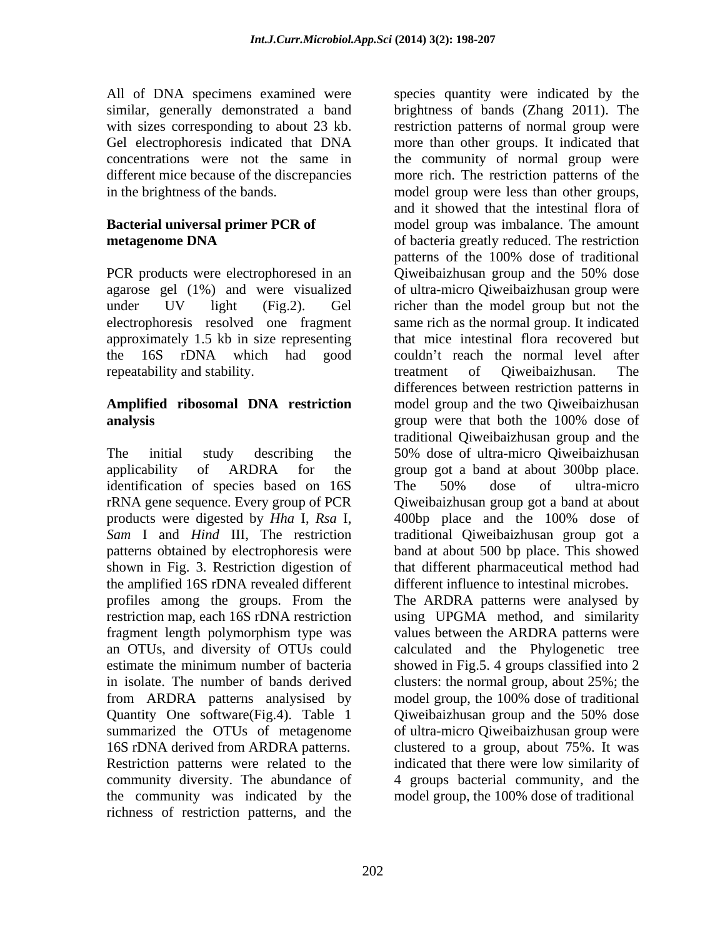All of DNA specimens examined were species quantity were indicated by the similar, generally demonstrated a band in the brightness of the bands. The band is model group were less than other groups,

repeatability and stability. The state of proverse extending treatment of Qiweibaizhusan. The

# **analysis analysis analysis analysis analysis analysis analysis analysis analysis analysis analysis**

applicability of ARDRA for the group got a band at about 300 bp place. identification of species based on 16S The 50% dose of ultra-micro products were digested by *Hha* I, *Rsa* I, patterns obtained by electrophoresis were the amplified 16S rDNA revealed different fragment length polymorphism type was from ARDRA patterns analysised by model group, the 100% dose of traditional Quantity One software (Fig. 4). Table 1 Qiweibaizhus an group and the 50% dose summarized the OTUs of metagenome 16S rDNA derived from ARDRA patterns. clustered to a group, about 75%. It was Restriction patterns were related to the indicated that there were low similarity of community diversity. The abundance of 4 groups bacterial community, and the the community was indicated by the model group, the 100% dose of traditional richness of restriction patterns, and the

with sizes corresponding to about 23 kb. restriction patterns of normal group were Gel electrophoresis indicated that DNA more than other groups. It indicated that concentrations were not the same in the community of normal group were different mice because of the discrepancies more rich. The restriction patterns of the **Bacterial universal primer PCR of** model group was imbalance. The amount **metagenome DNA** of bacteria greatly reduced. The restriction PCR products were electrophoresed in an Qiweibaizhusan group and the 50% dose agarose gel (1%) and were visualized of ultra-micro Qiweibaizhusan group were under UV light (Fig.2). Gel richer than the model group but not the electrophoresis resolved one fragment same rich as the normal group. It indicated approximately 1.5 kb in size representing that mice intestinal flora recovered but the 16S rDNA which had good couldn't reach the normal level after **Amplified ribosomal DNA restriction** model group and the two Qiweibaizhusan The initial study describing the 50% dose of ultra-micro Qiweibaizhusan rRNA gene sequence. Every group of PCR Qiweibaizhusan group got a band at about *Sam* I and *Hind* III, The restriction traditional Qiweibaizhusan group got a shown in Fig. 3. Restriction digestion of that different pharmaceutical method had profiles among the groups. From the The ARDRA patterns were analysed by restriction map, each 16S rDNA restriction using UPGMA method, and similarity an OTUs, and diversity of OTUs could calculated and the Phylogenetic tree estimate the minimum number of bacteria showed in Fig.5. 4 groups classified into 2 in isolate. The number of bands derived clusters: the normal group, about 25%; the brightness of bands (Zhang 2011). The model group were less than other groups, and it showed that the intestinal flora of patterns of the 100% dose of traditional treatment of Qiweibaizhusan. The differences between restriction patterns in group were that both the 100% dose of traditional Qiweibaizhusan group and the group got <sup>a</sup> band at about 300bp place. The 50% dose of ultra-micro 400bp place and the 100% dose of band at about 500 bp place. This showed different influence to intestinal microbes. values between the ARDRA patterns were model group, the 100% dose of traditional Qiweibaizhusan group and the 50% dose

of ultra-micro Qiweibaizhusan group were

model group, the 100% dose of traditional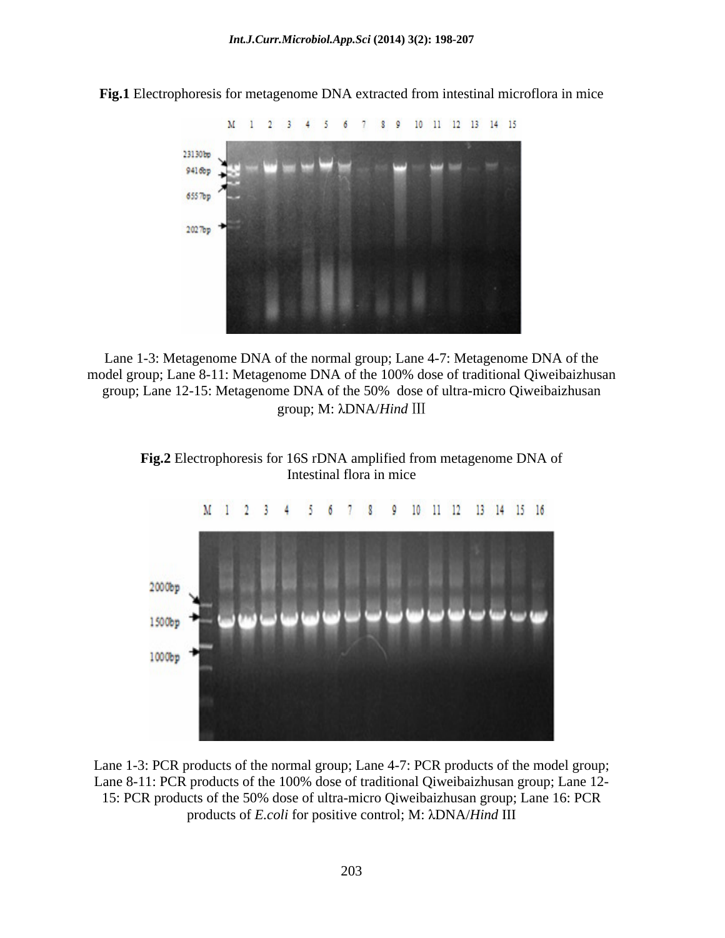

**Fig.1** Electrophoresis for metagenome DNA extracted from intestinal microflora in mice

Lane 1-3: Metagenome DNA of the normal group; Lane 4-7: Metagenome DNA of the model group; Lane 8-11: Metagenome DNA of the 100% dose of traditional Qiweibaizhusan group; Lane 12-15: Metagenome DNA of the 50% dose of ultra-micro Qiweibaizhusan group; Μ: λDNA/*Hind* III

**Fig.2** Electrophoresis for 16S rDNA amplified from metagenome DNA of Intestinal flora in mice



Lane 1-3: PCR products of the normal group; Lane 4-7: PCR products of the model group; Lane 8-11: PCR products of the 100% dose of traditional Qiweibaizhusan group; Lane 12- 15: PCR products of the 50% dose of ultra-micro Qiweibaizhusan group; Lane 16: PCR products of *E.coli* for positive control; M: DNA/*Hind* III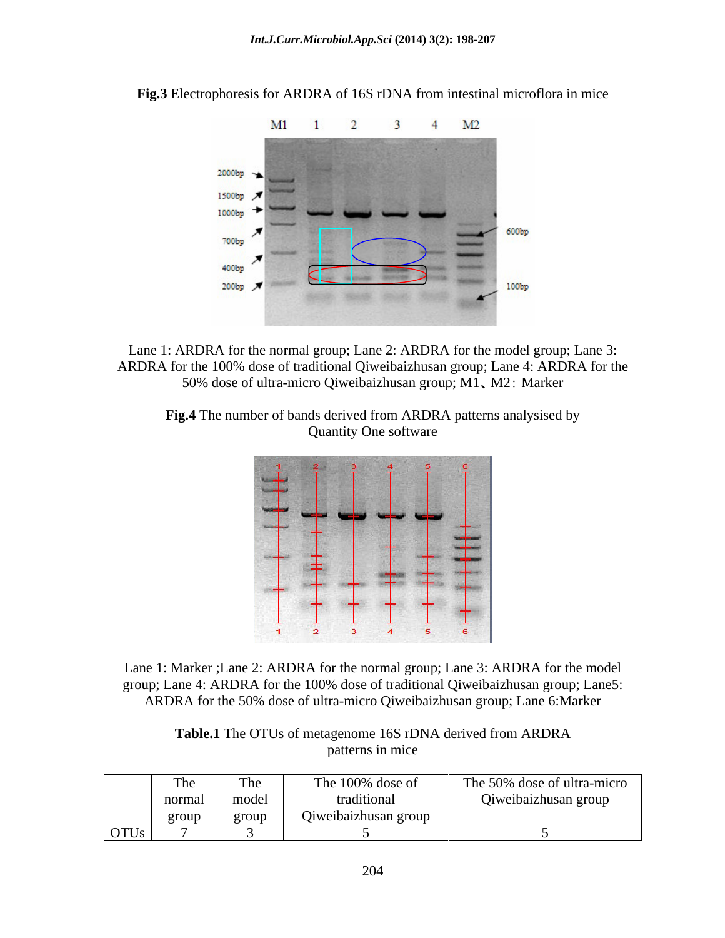

**Fig.3** Electrophoresis for ARDRA of 16S rDNA from intestinal microflora in mice

Lane 1: ARDRA for the normal group; Lane 2: ARDRA for the model group; Lane 3: ARDRA for the 100% dose of traditional Qiweibaizhusan group; Lane 4: ARDRA for the 50% dose of ultra-micro Qiweibaizhusan group; M1, M2: Marker

**Fig.4** The number of bands derived from ARDRA patterns analysised by Quantity One software



Lane 1: Marker ;Lane 2: ARDRA for the normal group; Lane 3: ARDRA for the model group; Lane 4: ARDRA for the 100% dose of traditional Qiweibaizhusan group; Lane5: ARDRA for the 50% dose of ultra-micro Qiweibaizhusan group; Lane 6:Marker

**Table.1** The OTUs of metagenome 16S rDNA derived from ARDRA patterns in mice

| The                                                                                            | <b>TH.</b><br><b>TILA</b> | The 100% dose of  | The 50% dose of ultra-micro |
|------------------------------------------------------------------------------------------------|---------------------------|-------------------|-----------------------------|
| normal                                                                                         | model                     | raditio           | Qiweibaizhusan group        |
| group                                                                                          | grou                      | eibaizhusan group |                             |
| <b>OTUs</b><br>the contract of the contract of the contract of the contract of the contract of |                           |                   |                             |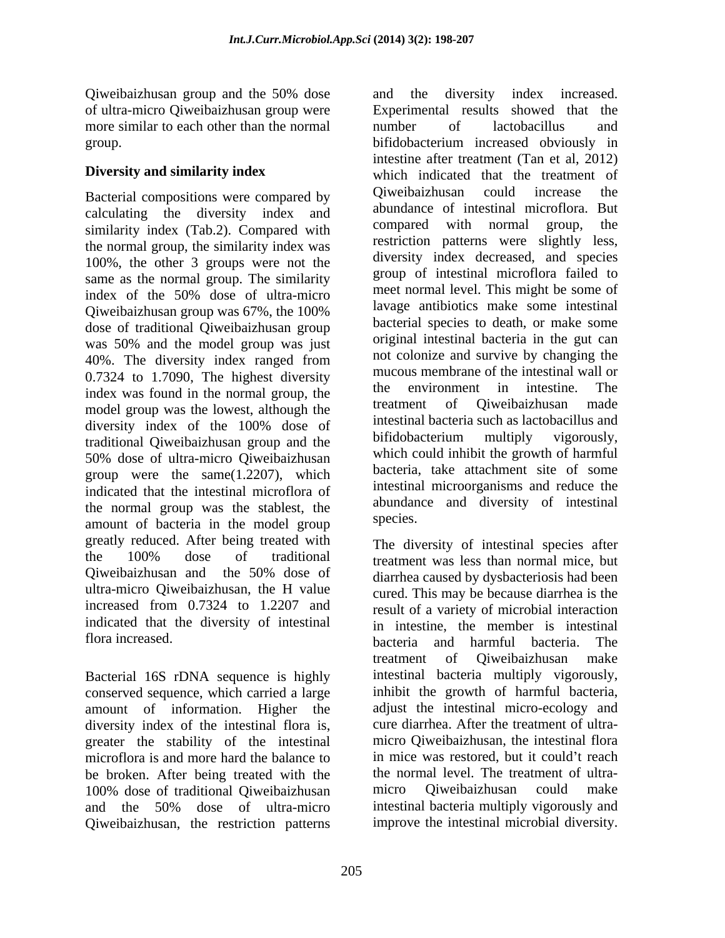Qiweibaizhusan group and the 50% dose of ultra-micro Qiweibaizhusan group were more similar to each other than the normal unimber of lactobacillus and

calculating the diversity index and abundance of intestinal microflora. But<br>compared with compared with normal group, the similarity index (Tab.2). Compared with the normal group, the similarity index was 100%, the other 3 groups were not the same as the normal group. The similarity index of the 50% dose of ultra-micro<br>  $\frac{1}{2}$  meet normal level. This might be some of Qiweibaizhusan group was 67%, the 100% dose of traditional Qiweibaizhusan group was 50% and the model group was just 40%. The diversity index ranged from 40%. The diversity index ranged from the colonize and survive by changing the  $0.7324$  to 1.7090, The highest diversity mucous membrane of the intestinal wall or  $\frac{1}{2}$  to  $\frac{1}{2}$  to  $\frac{1}{2}$  the space of the space of the space of the space of the space of the space of the space of the space index was found in the normal group, the the environment in intestine. The intesting index was found in the normal group, the treatment of Oiweibaizhusan made model group was the lowest, although the diversity index of the 100% dose of the linesunal bacteria such as according and traditional Qiweibaizhusan group and the bifidobacterium multiply vigorously, 50% dose of ultra-micro Qiweibaizhusan group were the same(1.2207), which indicated that the intestinal microflora of the normal group was the stablest, the abundant approximately approximately the model group species. amount of bacteria in the model group greatly reduced. After being treated with the 100% dose of traditional treatment was less than normal mice but Qiweibaizhusan and the 50% dose of ultra-micro Qiweibaizhusan, the H value cured. This may be because diarrhea is the increased from 0.7324 to 1.2207 and result of a variety of microbial interaction indicated that the diversity of intestinal in intestine, the member is intestinal

Bacterial 16S rDNA sequence is highly conserved sequence, which carried a large amount of information. Higher the diversity index of the intestinal flora is, greater the stability of the intestinal microflora is and more hard the balance to be broken. After being treated with the the normal level. The tre 100% dose of traditional Oiweibaizhusan micro Oiweibaizhusan 100% dose of traditional Qiweibaizhusan and the 50% dose of ultra-micro Qiweibaizhusan, the restriction patterns

group. bifidobacterium increased obviously in **Diversity and similarity index** which indicated that the treatment of Bacterial compositions were compared by Qiweibaizhusan could increase the and the diversity index increased. Experimental results showed that the number of lactobacillus and intestine after treatment (Tan et al,2012) Qiweibaizhusan could increase the abundance of intestinal microflora. But compared with normal group, the restriction patterns were slightly less, diversity index decreased, and species group of intestinal microflora failed to meet normal level. This might be some of lavage antibiotics make some intestinal bacterial species to death, or make some original intestinal bacteria in the gut can not colonize and survive by changing the mucous membrane of the intestinal wall or the environment in intestine. The treatment of Qiweibaizhusan made intestinal bacteria such as lactobacillus and bifidobacterium multiply vigorously, which could inhibit the growth of harmful bacteria, take attachment site of some intestinal microorganisms and reduce the abundance and diversity of intestinal species.

flora increased. bacteria and harmful bacteria. The The diversity of intestinal species after treatment was less than normal mice, but diarrhea caused by dysbacteriosis had been treatment of Qiweibaizhusan make intestinal bacteria multiply vigorously, inhibit the growth of harmful bacteria, adjust the intestinal micro-ecology and cure diarrhea. After the treatment of ultra micro Qiweibaizhusan, the intestinal flora in mice was restored, but it could't reach the normal level. The treatment of ultra micro Qiweibaizhusan could make intestinal bacteria multiply vigorously and improve the intestinal microbial diversity.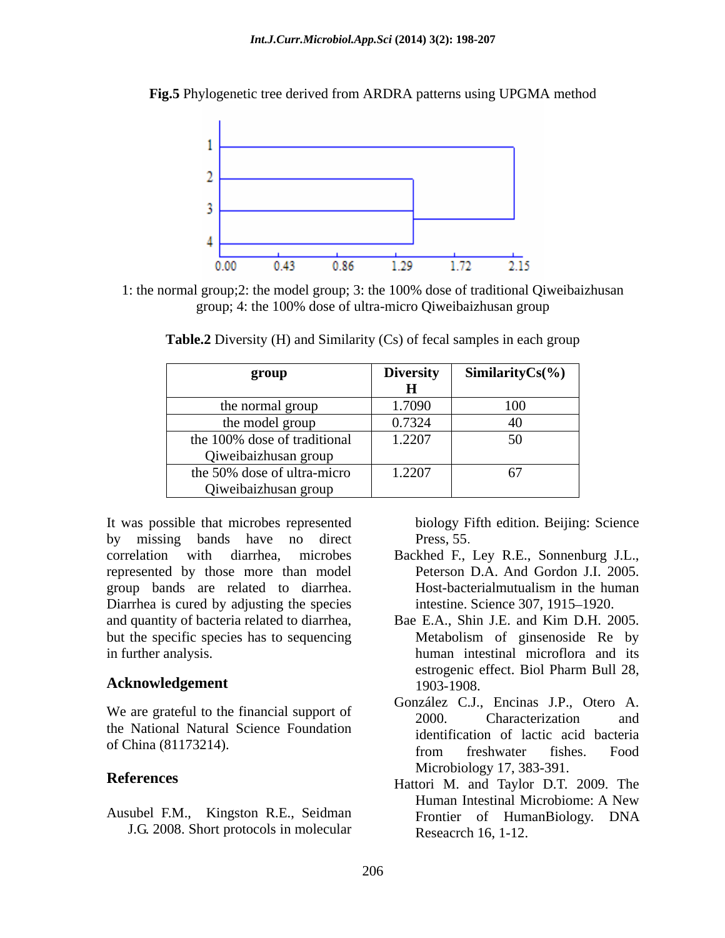

**Fig.5** Phylogenetic tree derived from ARDRA patterns using UPGMA method

1: the normal group;2: the model group; 3: the 100% dose of traditional Qiweibaizhusan group; 4: the 100% dose of ultra-micro Qiweibaizhusan group

| group                        | <b>Diversity</b> | Similarity $Cs(\%)$ |
|------------------------------|------------------|---------------------|
|                              |                  |                     |
| the normal group             | 1.7090           | 100                 |
| the model group              | 0.7324           | $\sqrt{2}$          |
| the 100% dose of traditional | 1.2207           | $50 -$<br>JV.       |
| Qiweibaizhusan group         |                  |                     |
| the 50% dose of ultra-micro  | 1.2207           |                     |
| Qiweibaizhusan group         |                  |                     |

**Table.2** Diversity (H) and Similarity (Cs) of fecal samples in each group

It was possible that microbes represented by missing bands have no direct Press, 55. correlation with diarrhea, microbes represented by those more than model **Peterson D.A.** And Gordon J.I. 2005. group bands are related to diarrhea. Host-bacterialmutualism in the human<br>Diarrhea is cured by adjusting the species intestine. Science 307, 1915–1920. but the specific species has to sequencing Metabolism of ginsenoside Re by

the National Natural Science Foundation

J.G. 2008. Short protocols in molecular

biology Fifth edition. Beijing: Science Press, 55.

- Backhed F., Ley R.E., Sonnenburg J.L., Peterson D.A. And Gordon J.I. 2005. Host-bacterialmutualism in the human intestine. Science 307, 1915–1920.
- and quantity of bacteria related to diarrhea, Bae E.A., Shin J.E. and Kim D.H. 2005. in further analysis. human intestinal microflora and its **Acknowledgement** estrogenic effect. Biol Pharm Bull 28,<br>1903-1908. Metabolism of ginsenoside Re by estrogenic effect. Biol Pharm Bull 28, 1903-1908.
- We are grateful to the financial support of  $\frac{\text{Sonduced}}{2000}$ . Characterization and of China (81173214).<br>
from freshwater fishes. Food González C.J., Encinas J.P., Otero A. 2000. Characterization and identification of lactic acid bacteria from freshwater fishes. Food Microbiology 17, 383-391.
- **References** Hattori M. and Taylor D.T. 2009. The Ausubel F.M., Kingston R.E., Seidman Human Intestinal Microbiome: A New Frontier of HumanBiology. DNA Reseacrch 16, 1-12.